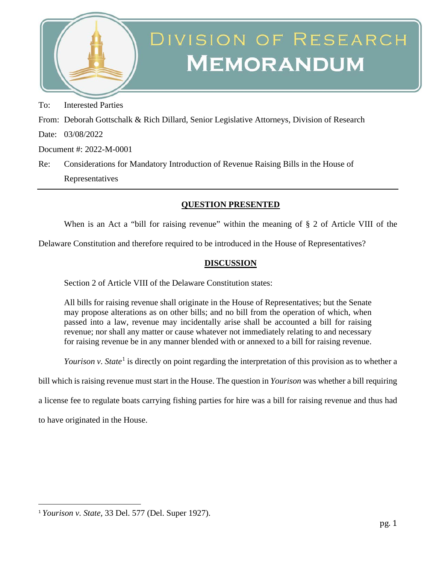

## DIVISION OF RESEARCH **MEMORANDUM**

To: Interested Parties

From: Deborah Gottschalk & Rich Dillard, Senior Legislative Attorneys, Division of Research

Date: 03/08/2022

Document #: 2022-M-0001

Re: Considerations for Mandatory Introduction of Revenue Raising Bills in the House of Representatives

## **QUESTION PRESENTED**

When is an Act a "bill for raising revenue" within the meaning of § 2 of Article VIII of the

Delaware Constitution and therefore required to be introduced in the House of Representatives?

## **DISCUSSION**

Section 2 of Article VIII of the Delaware Constitution states:

All bills for raising revenue shall originate in the House of Representatives; but the Senate may propose alterations as on other bills; and no bill from the operation of which, when passed into a law, revenue may incidentally arise shall be accounted a bill for raising revenue; nor shall any matter or cause whatever not immediately relating to and necessary for raising revenue be in any manner blended with or annexed to a bill for raising revenue.

*Yourison v. State*<sup>[1](#page-0-0)</sup> is directly on point regarding the interpretation of this provision as to whether a

bill which is raising revenue must start in the House. The question in *Yourison* was whether a bill requiring

a license fee to regulate boats carrying fishing parties for hire was a bill for raising revenue and thus had

to have originated in the House.

<span id="page-0-0"></span><sup>1</sup> *Yourison v. State,* 33 Del. 577 (Del. Super 1927).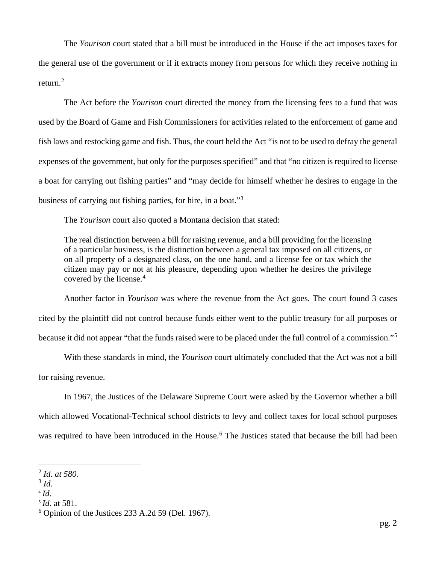The *Yourison* court stated that a bill must be introduced in the House if the act imposes taxes for the general use of the government or if it extracts money from persons for which they receive nothing in return. [2](#page-1-0)

The Act before the *Yourison* court directed the money from the licensing fees to a fund that was used by the Board of Game and Fish Commissioners for activities related to the enforcement of game and fish laws and restocking game and fish. Thus, the court held the Act "is not to be used to defray the general expenses of the government, but only for the purposes specified" and that "no citizen is required to license a boat for carrying out fishing parties" and "may decide for himself whether he desires to engage in the business of carrying out fishing parties, for hire, in a boat."[3](#page-1-1)

The *Yourison* court also quoted a Montana decision that stated:

The real distinction between a bill for raising revenue, and a bill providing for the licensing of a particular business, is the distinction between a general tax imposed on all citizens, or on all property of a designated class, on the one hand, and a license fee or tax which the citizen may pay or not at his pleasure, depending upon whether he desires the privilege covered by the license.<sup>[4](#page-1-2)</sup>

Another factor in *Yourison* was where the revenue from the Act goes. The court found 3 cases cited by the plaintiff did not control because funds either went to the public treasury for all purposes or because it did not appear "that the funds raised were to be placed under the full control of a commission."[5](#page-1-3)

With these standards in mind, the *Yourison* court ultimately concluded that the Act was not a bill for raising revenue.

In 1967, the Justices of the Delaware Supreme Court were asked by the Governor whether a bill which allowed Vocational-Technical school districts to levy and collect taxes for local school purposes was required to have been introduced in the House.<sup>[6](#page-1-4)</sup> The Justices stated that because the bill had been

<span id="page-1-0"></span><sup>2</sup> *Id. at 580.*

<span id="page-1-1"></span><sup>3</sup> *Id.*

<span id="page-1-2"></span> $4$   $Id$ .

<span id="page-1-3"></span><sup>5</sup> *Id*. at 581.

<span id="page-1-4"></span> $6$  Opinion of the Justices 233 A.2d 59 (Del. 1967).